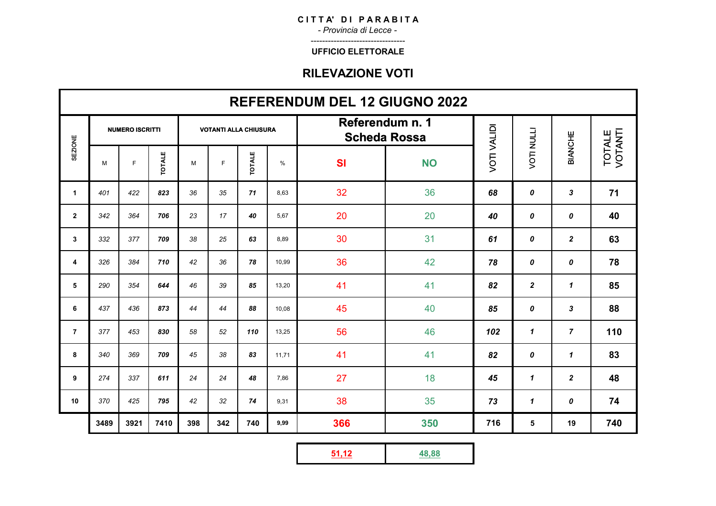*- Provincia di Lecce -* ---------------------------------

#### **UFFICIO ELETTORALE**

|                | <b>REFERENDUM DEL 12 GIUGNO 2022</b> |                        |               |                              |     |               |       |                                        |           |                    |                   |                |                   |
|----------------|--------------------------------------|------------------------|---------------|------------------------------|-----|---------------|-------|----------------------------------------|-----------|--------------------|-------------------|----------------|-------------------|
|                |                                      | <b>NUMERO ISCRITTI</b> |               | <b>VOTANTI ALLA CHIUSURA</b> |     |               |       | Referendum n. 1<br><b>Scheda Rossa</b> |           |                    |                   |                |                   |
| <b>SEZIONE</b> | M                                    | F                      | <b>TOTALE</b> | M                            | F   | <b>TOTALE</b> | %     | <b>SI</b>                              | <b>NO</b> | <b>VOTI VALIDI</b> | <b>VOTI NULLI</b> | <b>BIANCHE</b> | TOTALE<br>VOTANTI |
| 1              | 401                                  | 422                    | 823           | 36                           | 35  | 71            | 8,63  | 32                                     | 36        | 68                 | 0                 | 3              | 71                |
| $\mathbf{2}$   | 342                                  | 364                    | 706           | 23                           | 17  | 40            | 5,67  | 20                                     | 20        | 40                 | 0                 | 0              | 40                |
| 3              | 332                                  | 377                    | 709           | 38                           | 25  | 63            | 8.89  | 30                                     | 31        | 61                 | 0                 | $\overline{2}$ | 63                |
| 4              | 326                                  | 384                    | 710           | 42                           | 36  | 78            | 10,99 | 36                                     | 42        | 78                 | 0                 | 0              | 78                |
| 5              | 290                                  | 354                    | 644           | 46                           | 39  | 85            | 13,20 | 41                                     | 41        | 82                 | $\overline{2}$    | $\mathbf{1}$   | 85                |
| 6              | 437                                  | 436                    | 873           | 44                           | 44  | 88            | 10.08 | 45                                     | 40        | 85                 | 0                 | 3              | 88                |
| $\overline{7}$ | 377                                  | 453                    | 830           | 58                           | 52  | 110           | 13.25 | 56                                     | 46        | 102                | $\mathbf{1}$      | $\overline{7}$ | 110               |
| 8              | 340                                  | 369                    | 709           | 45                           | 38  | 83            | 11,71 | 41                                     | 41        | 82                 | 0                 | $\mathbf{1}$   | 83                |
| 9              | 274                                  | 337                    | 611           | 24                           | 24  | 48            | 7,86  | 27                                     | 18        | 45                 | $\mathbf{1}$      | $\mathbf{2}$   | 48                |
| 10             | 370                                  | 425                    | 795           | 42                           | 32  | 74            | 9,31  | 38                                     | 35        | 73                 | $\mathbf{1}$      | 0              | 74                |
|                | 3489                                 | 3921                   | 7410          | 398                          | 342 | 740           | 9,99  | 366                                    | 350       | 716                | ${\bf 5}$         | 19             | 740               |

|--|--|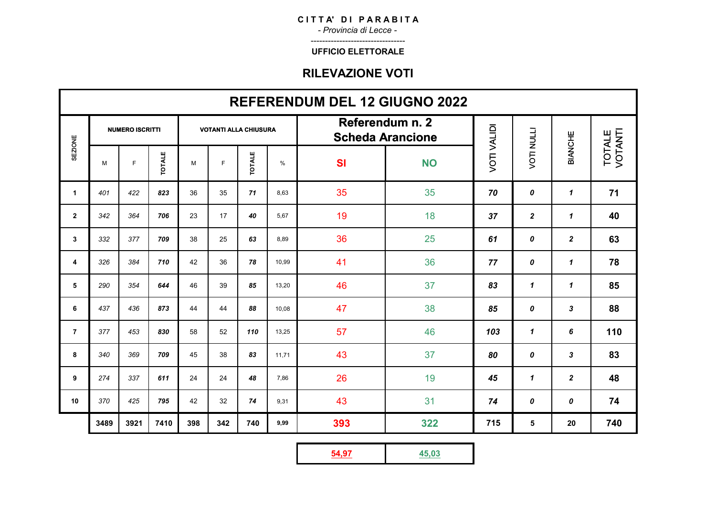*- Provincia di Lecce -* ---------------------------------

#### **UFFICIO ELETTORALE**

|                | <b>REFERENDUM DEL 12 GIUGNO 2022</b> |                        |               |                              |     |               |       |                                            |           |                    |                   |                |                   |
|----------------|--------------------------------------|------------------------|---------------|------------------------------|-----|---------------|-------|--------------------------------------------|-----------|--------------------|-------------------|----------------|-------------------|
|                |                                      | <b>NUMERO ISCRITTI</b> |               | <b>VOTANTI ALLA CHIUSURA</b> |     |               |       | Referendum n. 2<br><b>Scheda Arancione</b> |           |                    |                   |                |                   |
| <b>SEZIONE</b> | M                                    | $\mathsf{F}$           | <b>TOTALE</b> | M                            | F   | <b>TOTALE</b> | %     | <b>SI</b>                                  | <b>NO</b> | <b>VOTI VALIDI</b> | <b>VOTI NULLI</b> | BIANCHE        | TOTALE<br>VOTANTI |
| $\mathbf{1}$   | 401                                  | 422                    | 823           | 36                           | 35  | 71            | 8,63  | 35                                         | 35        | 70                 | 0                 | $\mathbf{1}$   | 71                |
| $\overline{2}$ | 342                                  | 364                    | 706           | 23                           | 17  | 40            | 5.67  | 19                                         | 18        | 37                 | $\mathbf{2}$      | $\mathbf{1}$   | 40                |
| 3              | 332                                  | 377                    | 709           | 38                           | 25  | 63            | 8,89  | 36                                         | 25        | 61                 | 0                 | $\overline{2}$ | 63                |
| 4              | 326                                  | 384                    | 710           | 42                           | 36  | 78            | 10,99 | 41                                         | 36        | 77                 | 0                 | $\mathbf{1}$   | 78                |
| 5              | 290                                  | 354                    | 644           | 46                           | 39  | 85            | 13,20 | 46                                         | 37        | 83                 | $\mathbf{1}$      | $\mathbf{1}$   | 85                |
| 6              | 437                                  | 436                    | 873           | 44                           | 44  | 88            | 10.08 | 47                                         | 38        | 85                 | 0                 | 3              | 88                |
| $\overline{7}$ | 377                                  | 453                    | 830           | 58                           | 52  | 110           | 13,25 | 57                                         | 46        | 103                | $\mathbf{1}$      | 6              | 110               |
| 8              | 340                                  | 369                    | 709           | 45                           | 38  | 83            | 11,71 | 43                                         | 37        | 80                 | 0                 | 3              | 83                |
| 9              | 274                                  | 337                    | 611           | 24                           | 24  | 48            | 7,86  | 26                                         | 19        | 45                 | $\mathbf{1}$      | $\mathbf{2}$   | 48                |
| 10             | 370                                  | 425                    | 795           | 42                           | 32  | 74            | 9,31  | 43                                         | 31        | 74                 | 0                 | 0              | 74                |
|                | 3489                                 | 3921                   | 7410          | 398                          | 342 | 740           | 9,99  | 393                                        | 322       | 715                | ${\bf 5}$         | 20             | 740               |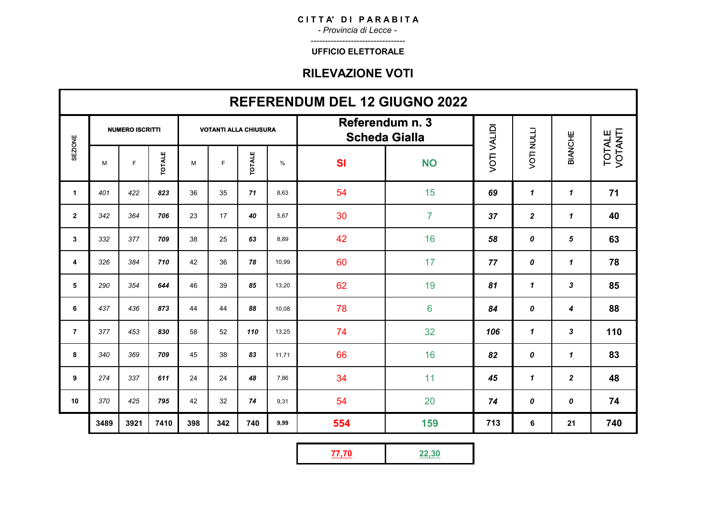*- Provincia di Lecce -* ---------------------------------

#### **UFFICIO ELETTORALE**

|                | <b>REFERENDUM DEL 12 GIUGNO 2022</b> |                        |               |                              |     |               |       |           |                                         |                    |                   |              |                   |
|----------------|--------------------------------------|------------------------|---------------|------------------------------|-----|---------------|-------|-----------|-----------------------------------------|--------------------|-------------------|--------------|-------------------|
|                |                                      | <b>NUMERO ISCRITTI</b> |               | <b>VOTANTI ALLA CHIUSURA</b> |     |               |       |           | Referendum n. 3<br><b>Scheda Gialla</b> |                    |                   |              |                   |
| <b>SEZIONE</b> | M                                    | E                      | <b>TOTALE</b> | M                            | F   | <b>TOTALE</b> | $\%$  | <b>SI</b> | <b>NO</b>                               | <b>VOTI VALIDI</b> | <b>VOTI NULLI</b> | BIANCHE      | TOTALE<br>VOTANTI |
| $\mathbf{1}$   | 401                                  | 422                    | 823           | 36                           | 35  | 71            | 8.63  | 54        | 15                                      | 69                 | $\mathbf{1}$      | $\mathbf{1}$ | 71                |
| $\mathbf{2}$   | 342                                  | 364                    | 706           | 23                           | 17  | 40            | 5,67  | 30        | $\overline{7}$                          | 37                 | $\boldsymbol{2}$  | $\mathbf{1}$ | 40                |
| 3              | 332                                  | 377                    | 709           | 38                           | 25  | 63            | 8,89  | 42        | 16                                      | 58                 | 0                 | 5            | 63                |
| 4              | 326                                  | 384                    | 710           | 42                           | 36  | 78            | 10.99 | 60        | 17                                      | 77                 | 0                 | $\mathbf{1}$ | 78                |
| 5              | 290                                  | 354                    | 644           | 46                           | 39  | 85            | 13,20 | 62        | 19                                      | 81                 | $\mathbf{1}$      | 3            | 85                |
| 6              | 437                                  | 436                    | 873           | 44                           | 44  | 88            | 10,08 | 78        | 6                                       | 84                 | 0                 | 4            | 88                |
| $\overline{7}$ | 377                                  | 453                    | 830           | 58                           | 52  | 110           | 13,25 | 74        | 32                                      | 106                | $\mathbf{1}$      | 3            | 110               |
| 8              | 340                                  | 369                    | 709           | 45                           | 38  | 83            | 11,71 | 66        | 16                                      | 82                 | 0                 | $\mathbf{1}$ | 83                |
| 9              | 274                                  | 337                    | 611           | 24                           | 24  | 48            | 7,86  | 34        | 11                                      | 45                 | $\mathbf{1}$      | $\mathbf{2}$ | 48                |
| 10             | 370                                  | 425                    | 795           | 42                           | 32  | 74            | 9,31  | 54        | 20                                      | 74                 | 0                 | 0            | 74                |
|                | 3489                                 | 3921                   | 7410          | 398                          | 342 | 740           | 9,99  | 554       | 159                                     | 713                | 6                 | 21           | 740               |

|--|--|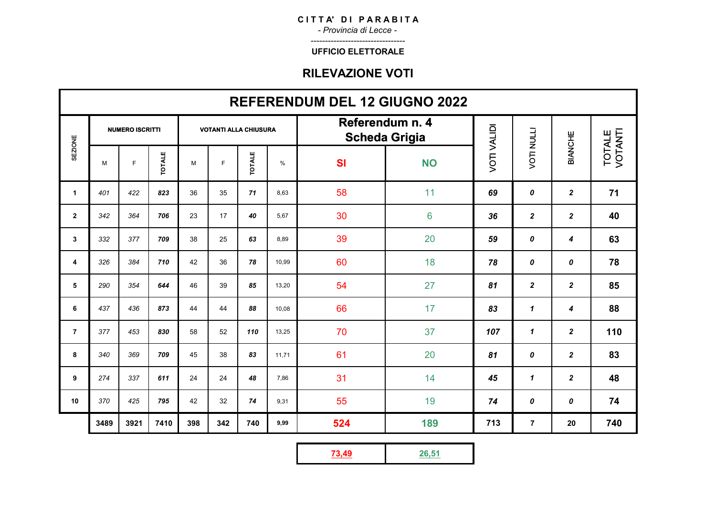*- Provincia di Lecce -* ---------------------------------

#### **UFFICIO ELETTORALE**

|                | <b>REFERENDUM DEL 12 GIUGNO 2022</b> |      |               |                              |     |               |       |                                         |                |                    |                   |                  |                   |
|----------------|--------------------------------------|------|---------------|------------------------------|-----|---------------|-------|-----------------------------------------|----------------|--------------------|-------------------|------------------|-------------------|
|                | <b>NUMERO ISCRITTI</b>               |      |               | <b>VOTANTI ALLA CHIUSURA</b> |     |               |       | Referendum n. 4<br><b>Scheda Grigia</b> |                |                    |                   |                  |                   |
| <b>SEZIONE</b> | M                                    | F    | <b>TOTALE</b> | M                            | F   | <b>TOTALE</b> | $\%$  | <b>SI</b>                               | <b>NO</b>      | <b>VOTI VALIDI</b> | <b>VOTI NULLI</b> | BIANCHE          | TOTALE<br>VOTANTI |
| 1              | 401                                  | 422  | 823           | 36                           | 35  | 71            | 8,63  | 58                                      | 11             | 69                 | 0                 | $\mathbf{2}$     | 71                |
| $\mathbf{2}$   | 342                                  | 364  | 706           | 23                           | 17  | 40            | 5,67  | 30                                      | $6\phantom{a}$ | 36                 | $\overline{2}$    | $\overline{2}$   | 40                |
| 3              | 332                                  | 377  | 709           | 38                           | 25  | 63            | 8,89  | 39                                      | 20             | 59                 | 0                 | 4                | 63                |
| 4              | 326                                  | 384  | 710           | 42                           | 36  | 78            | 10.99 | 60                                      | 18             | 78                 | 0                 | 0                | 78                |
| 5              | 290                                  | 354  | 644           | 46                           | 39  | 85            | 13.20 | 54                                      | 27             | 81                 | $\mathbf{2}$      | $\mathbf{2}$     | 85                |
| 6              | 437                                  | 436  | 873           | 44                           | 44  | 88            | 10,08 | 66                                      | 17             | 83                 | $\mathbf{1}$      | 4                | 88                |
| $\overline{7}$ | 377                                  | 453  | 830           | 58                           | 52  | 110           | 13,25 | 70                                      | 37             | 107                | $\mathbf{1}$      | $\mathbf{2}$     | 110               |
| 8              | 340                                  | 369  | 709           | 45                           | 38  | 83            | 11,71 | 61                                      | 20             | 81                 | 0                 | $\boldsymbol{2}$ | 83                |
| 9              | 274                                  | 337  | 611           | 24                           | 24  | 48            | 7,86  | 31                                      | 14             | 45                 | $\mathbf{1}$      | $\boldsymbol{2}$ | 48                |
| 10             | 370                                  | 425  | 795           | 42                           | 32  | 74            | 9,31  | 55                                      | 19             | 74                 | 0                 | 0                | 74                |
|                | 3489                                 | 3921 | 7410          | 398                          | 342 | 740           | 9,99  | 524                                     | 189            | 713                | $\overline{7}$    | 20               | 740               |

|--|